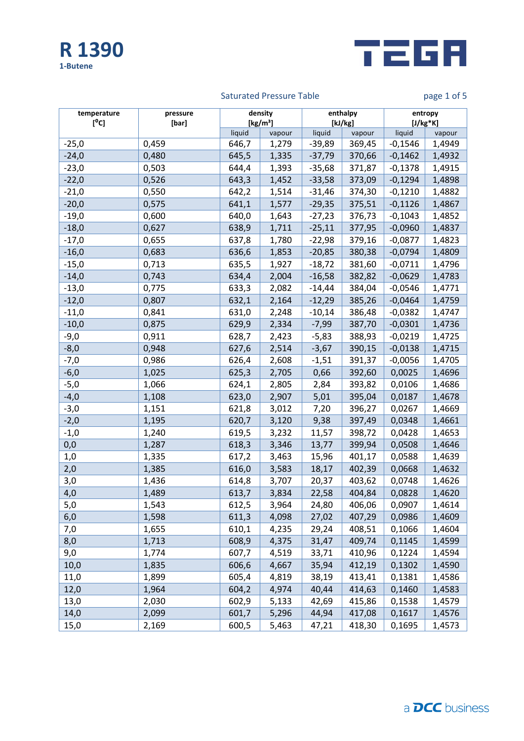



# Saturated Pressure Table **page 1 of 5** and page 1 of 5

| temperature<br>[°c] | pressure<br>[bar] | density<br>[kg/m <sup>3</sup> ] |        | enthalpy<br>[kJ/kg] |        | entropy<br>$[J/kg*K]$ |        |
|---------------------|-------------------|---------------------------------|--------|---------------------|--------|-----------------------|--------|
|                     |                   | liquid                          | vapour | liquid              | vapour | liquid                | vapour |
| $-25,0$             | 0,459             | 646,7                           | 1,279  | $-39,89$            | 369,45 | $-0,1546$             | 1,4949 |
| $-24,0$             | 0,480             | 645,5                           | 1,335  | $-37,79$            | 370,66 | $-0,1462$             | 1,4932 |
| $-23,0$             | 0,503             | 644,4                           | 1,393  | $-35,68$            | 371,87 | $-0,1378$             | 1,4915 |
| $-22,0$             | 0,526             | 643,3                           | 1,452  | $-33,58$            | 373,09 | $-0,1294$             | 1,4898 |
| $-21,0$             | 0,550             | 642,2                           | 1,514  | $-31,46$            | 374,30 | $-0,1210$             | 1,4882 |
| $-20,0$             | 0,575             | 641,1                           | 1,577  | $-29,35$            | 375,51 | $-0,1126$             | 1,4867 |
| $-19,0$             | 0,600             | 640,0                           | 1,643  | $-27,23$            | 376,73 | $-0,1043$             | 1,4852 |
| $-18,0$             | 0,627             | 638,9                           | 1,711  | $-25,11$            | 377,95 | $-0,0960$             | 1,4837 |
| $-17,0$             | 0,655             | 637,8                           | 1,780  | $-22,98$            | 379,16 | $-0,0877$             | 1,4823 |
| $-16,0$             | 0,683             | 636,6                           | 1,853  | $-20,85$            | 380,38 | $-0,0794$             | 1,4809 |
| $-15,0$             | 0,713             | 635,5                           | 1,927  | $-18,72$            | 381,60 | $-0,0711$             | 1,4796 |
| $-14,0$             | 0,743             | 634,4                           | 2,004  | $-16,58$            | 382,82 | $-0,0629$             | 1,4783 |
| $-13,0$             | 0,775             | 633,3                           | 2,082  | $-14,44$            | 384,04 | $-0,0546$             | 1,4771 |
| $-12,0$             | 0,807             | 632,1                           | 2,164  | $-12,29$            | 385,26 | $-0,0464$             | 1,4759 |
| $-11,0$             | 0,841             | 631,0                           | 2,248  | $-10,14$            | 386,48 | $-0,0382$             | 1,4747 |
| $-10,0$             | 0,875             | 629,9                           | 2,334  | $-7,99$             | 387,70 | $-0,0301$             | 1,4736 |
| $-9,0$              | 0,911             | 628,7                           | 2,423  | $-5,83$             | 388,93 | $-0,0219$             | 1,4725 |
| $-8,0$              | 0,948             | 627,6                           | 2,514  | $-3,67$             | 390,15 | $-0,0138$             | 1,4715 |
| $-7,0$              | 0,986             | 626,4                           | 2,608  | $-1,51$             | 391,37 | $-0,0056$             | 1,4705 |
| $-6,0$              | 1,025             | 625,3                           | 2,705  | 0,66                | 392,60 | 0,0025                | 1,4696 |
| $-5,0$              | 1,066             | 624,1                           | 2,805  | 2,84                | 393,82 | 0,0106                | 1,4686 |
| $-4,0$              | 1,108             | 623,0                           | 2,907  | 5,01                | 395,04 | 0,0187                | 1,4678 |
| $-3,0$              | 1,151             | 621,8                           | 3,012  | 7,20                | 396,27 | 0,0267                | 1,4669 |
| $-2,0$              | 1,195             | 620,7                           | 3,120  | 9,38                | 397,49 | 0,0348                | 1,4661 |
| $-1,0$              | 1,240             | 619,5                           | 3,232  | 11,57               | 398,72 | 0,0428                | 1,4653 |
| 0,0                 | 1,287             | 618,3                           | 3,346  | 13,77               | 399,94 | 0,0508                | 1,4646 |
| 1,0                 | 1,335             | 617,2                           | 3,463  | 15,96               | 401,17 | 0,0588                | 1,4639 |
| 2,0                 | 1,385             | 616,0                           | 3,583  | 18,17               | 402,39 | 0,0668                | 1,4632 |
| 3,0                 | 1,436             | 614,8                           | 3,707  | 20,37               | 403,62 | 0,0748                | 1,4626 |
| 4,0                 | 1,489             | 613,7                           | 3,834  | 22,58               | 404,84 | 0,0828                | 1,4620 |
| $5,0$               | 1,543             | 612,5                           | 3,964  | 24,80               | 406,06 | 0,0907                | 1,4614 |
| 6,0                 | 1,598             | 611,3                           | 4,098  | 27,02               | 407,29 | 0,0986                | 1,4609 |
| 7,0                 | 1,655             | 610,1                           | 4,235  | 29,24               | 408,51 | 0,1066                | 1,4604 |
| 8,0                 | 1,713             | 608,9                           | 4,375  | 31,47               | 409,74 | 0,1145                | 1,4599 |
| 9,0                 | 1,774             | 607,7                           | 4,519  | 33,71               | 410,96 | 0,1224                | 1,4594 |
| 10,0                | 1,835             | 606,6                           | 4,667  | 35,94               | 412,19 | 0,1302                | 1,4590 |
| 11,0                | 1,899             | 605,4                           | 4,819  | 38,19               | 413,41 | 0,1381                | 1,4586 |
| 12,0                | 1,964             | 604,2                           | 4,974  | 40,44               | 414,63 | 0,1460                | 1,4583 |
| 13,0                | 2,030             | 602,9                           | 5,133  | 42,69               | 415,86 | 0,1538                | 1,4579 |
| 14,0                | 2,099             | 601,7                           | 5,296  | 44,94               | 417,08 | 0,1617                | 1,4576 |
| 15,0                | 2,169             | 600,5                           | 5,463  | 47,21               | 418,30 | 0,1695                | 1,4573 |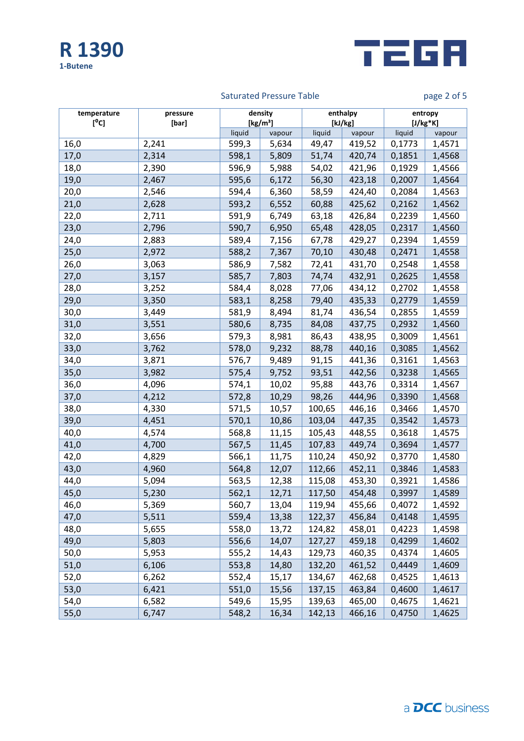



# Saturated Pressure Table **page 2 of 5** and page 2 of 5

| temperature<br>$[^{0}C]$ | pressure<br>[bar] | density<br>[kg/m <sup>3</sup> ] |        | enthalpy<br>[kJ/kg] |        | entropy<br>$[J/kg*K]$ |        |
|--------------------------|-------------------|---------------------------------|--------|---------------------|--------|-----------------------|--------|
|                          |                   | liquid                          | vapour | liquid              | vapour | liquid                | vapour |
| 16,0                     | 2,241             | 599,3                           | 5,634  | 49,47               | 419,52 | 0,1773                | 1,4571 |
| 17,0                     | 2,314             | 598,1                           | 5,809  | 51,74               | 420,74 | 0,1851                | 1,4568 |
| 18,0                     | 2,390             | 596,9                           | 5,988  | 54,02               | 421,96 | 0,1929                | 1,4566 |
| 19,0                     | 2,467             | 595,6                           | 6,172  | 56,30               | 423,18 | 0,2007                | 1,4564 |
| 20,0                     | 2,546             | 594,4                           | 6,360  | 58,59               | 424,40 | 0,2084                | 1,4563 |
| 21,0                     | 2,628             | 593,2                           | 6,552  | 60,88               | 425,62 | 0,2162                | 1,4562 |
| 22,0                     | 2,711             | 591,9                           | 6,749  | 63,18               | 426,84 | 0,2239                | 1,4560 |
| 23,0                     | 2,796             | 590,7                           | 6,950  | 65,48               | 428,05 | 0,2317                | 1,4560 |
| 24,0                     | 2,883             | 589,4                           | 7,156  | 67,78               | 429,27 | 0,2394                | 1,4559 |
| 25,0                     | 2,972             | 588,2                           | 7,367  | 70,10               | 430,48 | 0,2471                | 1,4558 |
| 26,0                     | 3,063             | 586,9                           | 7,582  | 72,41               | 431,70 | 0,2548                | 1,4558 |
| 27,0                     | 3,157             | 585,7                           | 7,803  | 74,74               | 432,91 | 0,2625                | 1,4558 |
| 28,0                     | 3,252             | 584,4                           | 8,028  | 77,06               | 434,12 | 0,2702                | 1,4558 |
| 29,0                     | 3,350             | 583,1                           | 8,258  | 79,40               | 435,33 | 0,2779                | 1,4559 |
| 30,0                     | 3,449             | 581,9                           | 8,494  | 81,74               | 436,54 | 0,2855                | 1,4559 |
| 31,0                     | 3,551             | 580,6                           | 8,735  | 84,08               | 437,75 | 0,2932                | 1,4560 |
| 32,0                     | 3,656             | 579,3                           | 8,981  | 86,43               | 438,95 | 0,3009                | 1,4561 |
| 33,0                     | 3,762             | 578,0                           | 9,232  | 88,78               | 440,16 | 0,3085                | 1,4562 |
| 34,0                     | 3,871             | 576,7                           | 9,489  | 91,15               | 441,36 | 0,3161                | 1,4563 |
| 35,0                     | 3,982             | 575,4                           | 9,752  | 93,51               | 442,56 | 0,3238                | 1,4565 |
| 36,0                     | 4,096             | 574,1                           | 10,02  | 95,88               | 443,76 | 0,3314                | 1,4567 |
| 37,0                     | 4,212             | 572,8                           | 10,29  | 98,26               | 444,96 | 0,3390                | 1,4568 |
| 38,0                     | 4,330             | 571,5                           | 10,57  | 100,65              | 446,16 | 0,3466                | 1,4570 |
| 39,0                     | 4,451             | 570,1                           | 10,86  | 103,04              | 447,35 | 0,3542                | 1,4573 |
| 40,0                     | 4,574             | 568,8                           | 11,15  | 105,43              | 448,55 | 0,3618                | 1,4575 |
| 41,0                     | 4,700             | 567,5                           | 11,45  | 107,83              | 449,74 | 0,3694                | 1,4577 |
| 42,0                     | 4,829             | 566,1                           | 11,75  | 110,24              | 450,92 | 0,3770                | 1,4580 |
| 43,0                     | 4,960             | 564,8                           | 12,07  | 112,66              | 452,11 | 0,3846                | 1,4583 |
| 44,0                     | 5,094             | 563,5                           | 12,38  | 115,08              | 453,30 | 0,3921                | 1,4586 |
| 45,0                     | 5,230             | 562,1                           | 12,71  | 117,50              | 454,48 | 0,3997                | 1,4589 |
| 46,0                     | 5,369             | 560,7                           | 13,04  | 119,94              | 455,66 | 0,4072                | 1,4592 |
| 47,0                     | 5,511             | 559,4                           | 13,38  | 122,37              | 456,84 | 0,4148                | 1,4595 |
| 48,0                     | 5,655             | 558,0                           | 13,72  | 124,82              | 458,01 | 0,4223                | 1,4598 |
| 49,0                     | 5,803             | 556,6                           | 14,07  | 127,27              | 459,18 | 0,4299                | 1,4602 |
| 50,0                     | 5,953             | 555,2                           | 14,43  | 129,73              | 460,35 | 0,4374                | 1,4605 |
| 51,0                     | 6,106             | 553,8                           | 14,80  | 132,20              | 461,52 | 0,4449                | 1,4609 |
| 52,0                     | 6,262             | 552,4                           | 15,17  | 134,67              | 462,68 | 0,4525                | 1,4613 |
| 53,0                     | 6,421             | 551,0                           | 15,56  | 137,15              | 463,84 | 0,4600                | 1,4617 |
| 54,0                     | 6,582             | 549,6                           | 15,95  | 139,63              | 465,00 | 0,4675                | 1,4621 |
| 55,0                     | 6,747             | 548,2                           | 16,34  | 142,13              | 466,16 | 0,4750                | 1,4625 |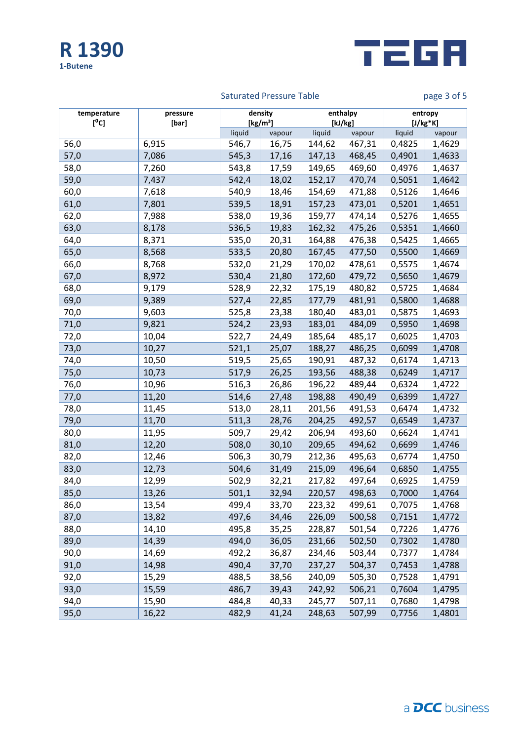



# Saturated Pressure Table **page 3 of 5** and page 3 of 5

| temperature<br>[°C] | pressure<br>[bar] | density<br>[kg/m <sup>3</sup> ] |        | enthalpy<br>[kJ/kg] |        | entropy<br>$[J/kg*K]$ |        |
|---------------------|-------------------|---------------------------------|--------|---------------------|--------|-----------------------|--------|
|                     |                   | liquid                          | vapour | liquid              | vapour | liquid                | vapour |
| 56,0                | 6,915             | 546,7                           | 16,75  | 144,62              | 467,31 | 0,4825                | 1,4629 |
| 57,0                | 7,086             | 545,3                           | 17,16  | 147,13              | 468,45 | 0,4901                | 1,4633 |
| 58,0                | 7,260             | 543,8                           | 17,59  | 149,65              | 469,60 | 0,4976                | 1,4637 |
| 59,0                | 7,437             | 542,4                           | 18,02  | 152,17              | 470,74 | 0,5051                | 1,4642 |
| 60,0                | 7,618             | 540,9                           | 18,46  | 154,69              | 471,88 | 0,5126                | 1,4646 |
| 61,0                | 7,801             | 539,5                           | 18,91  | 157,23              | 473,01 | 0,5201                | 1,4651 |
| 62,0                | 7,988             | 538,0                           | 19,36  | 159,77              | 474,14 | 0,5276                | 1,4655 |
| 63,0                | 8,178             | 536,5                           | 19,83  | 162,32              | 475,26 | 0,5351                | 1,4660 |
| 64,0                | 8,371             | 535,0                           | 20,31  | 164,88              | 476,38 | 0,5425                | 1,4665 |
| 65,0                | 8,568             | 533,5                           | 20,80  | 167,45              | 477,50 | 0,5500                | 1,4669 |
| 66,0                | 8,768             | 532,0                           | 21,29  | 170,02              | 478,61 | 0,5575                | 1,4674 |
| 67,0                | 8,972             | 530,4                           | 21,80  | 172,60              | 479,72 | 0,5650                | 1,4679 |
| 68,0                | 9,179             | 528,9                           | 22,32  | 175,19              | 480,82 | 0,5725                | 1,4684 |
| 69,0                | 9,389             | 527,4                           | 22,85  | 177,79              | 481,91 | 0,5800                | 1,4688 |
| 70,0                | 9,603             | 525,8                           | 23,38  | 180,40              | 483,01 | 0,5875                | 1,4693 |
| 71,0                | 9,821             | 524,2                           | 23,93  | 183,01              | 484,09 | 0,5950                | 1,4698 |
| 72,0                | 10,04             | 522,7                           | 24,49  | 185,64              | 485,17 | 0,6025                | 1,4703 |
| 73,0                | 10,27             | 521,1                           | 25,07  | 188,27              | 486,25 | 0,6099                | 1,4708 |
| 74,0                | 10,50             | 519,5                           | 25,65  | 190,91              | 487,32 | 0,6174                | 1,4713 |
| 75,0                | 10,73             | 517,9                           | 26,25  | 193,56              | 488,38 | 0,6249                | 1,4717 |
| 76,0                | 10,96             | 516,3                           | 26,86  | 196,22              | 489,44 | 0,6324                | 1,4722 |
| 77,0                | 11,20             | 514,6                           | 27,48  | 198,88              | 490,49 | 0,6399                | 1,4727 |
| 78,0                | 11,45             | 513,0                           | 28,11  | 201,56              | 491,53 | 0,6474                | 1,4732 |
| 79,0                | 11,70             | 511,3                           | 28,76  | 204,25              | 492,57 | 0,6549                | 1,4737 |
| 80,0                | 11,95             | 509,7                           | 29,42  | 206,94              | 493,60 | 0,6624                | 1,4741 |
| 81,0                | 12,20             | 508,0                           | 30,10  | 209,65              | 494,62 | 0,6699                | 1,4746 |
| 82,0                | 12,46             | 506,3                           | 30,79  | 212,36              | 495,63 | 0,6774                | 1,4750 |
| 83,0                | 12,73             | 504,6                           | 31,49  | 215,09              | 496,64 | 0,6850                | 1,4755 |
| 84,0                | 12,99             | 502,9                           | 32,21  | 217,82              | 497,64 | 0,6925                | 1,4759 |
| 85,0                | 13,26             | 501,1                           | 32,94  | 220,57              | 498,63 | 0,7000                | 1,4764 |
| 86,0                | 13,54             | 499,4                           | 33,70  | 223,32              | 499,61 | 0,7075                | 1,4768 |
| 87,0                | 13,82             | 497,6                           | 34,46  | 226,09              | 500,58 | 0,7151                | 1,4772 |
| 88,0                | 14,10             | 495,8                           | 35,25  | 228,87              | 501,54 | 0,7226                | 1,4776 |
| 89,0                | 14,39             | 494,0                           | 36,05  | 231,66              | 502,50 | 0,7302                | 1,4780 |
| 90,0                | 14,69             | 492,2                           | 36,87  | 234,46              | 503,44 | 0,7377                | 1,4784 |
| 91,0                | 14,98             | 490,4                           | 37,70  | 237,27              | 504,37 | 0,7453                | 1,4788 |
| 92,0                | 15,29             | 488,5                           | 38,56  | 240,09              | 505,30 | 0,7528                | 1,4791 |
| 93,0                | 15,59             | 486,7                           | 39,43  | 242,92              | 506,21 | 0,7604                | 1,4795 |
| 94,0                | 15,90             | 484,8                           | 40,33  | 245,77              | 507,11 | 0,7680                | 1,4798 |
| 95,0                | 16,22             | 482,9                           | 41,24  | 248,63              | 507,99 | 0,7756                | 1,4801 |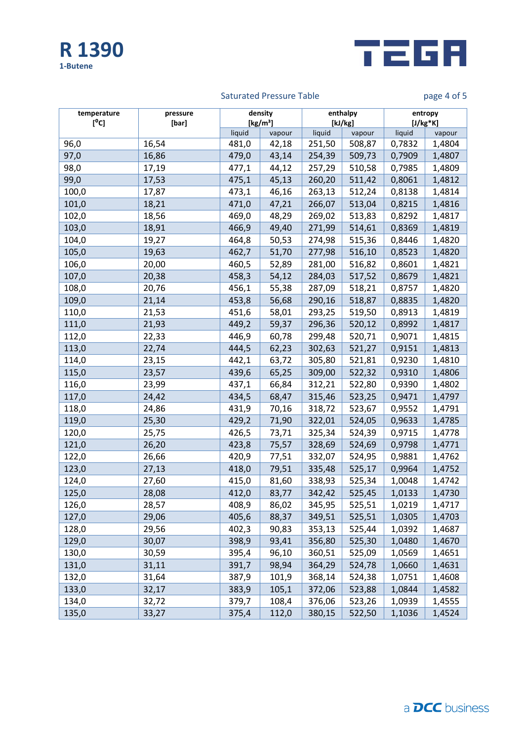



# Saturated Pressure Table **page 4 of 5**

| temperature<br>$[^0C]$ | pressure<br>[bar] | density<br>[kg/m <sup>3</sup> ] |        | enthalpy<br>[kJ/kg] |        | entropy<br>$[J/kg*K]$ |        |
|------------------------|-------------------|---------------------------------|--------|---------------------|--------|-----------------------|--------|
|                        |                   | liquid                          | vapour | liquid              | vapour | liquid                | vapour |
| 96,0                   | 16,54             | 481,0                           | 42,18  | 251,50              | 508,87 | 0,7832                | 1,4804 |
| 97,0                   | 16,86             | 479,0                           | 43,14  | 254,39              | 509,73 | 0,7909                | 1,4807 |
| 98,0                   | 17,19             | 477,1                           | 44,12  | 257,29              | 510,58 | 0,7985                | 1,4809 |
| 99,0                   | 17,53             | 475,1                           | 45,13  | 260,20              | 511,42 | 0,8061                | 1,4812 |
| 100,0                  | 17,87             | 473,1                           | 46,16  | 263,13              | 512,24 | 0,8138                | 1,4814 |
| 101,0                  | 18,21             | 471,0                           | 47,21  | 266,07              | 513,04 | 0,8215                | 1,4816 |
| 102,0                  | 18,56             | 469,0                           | 48,29  | 269,02              | 513,83 | 0,8292                | 1,4817 |
| 103,0                  | 18,91             | 466,9                           | 49,40  | 271,99              | 514,61 | 0,8369                | 1,4819 |
| 104,0                  | 19,27             | 464,8                           | 50,53  | 274,98              | 515,36 | 0,8446                | 1,4820 |
| 105,0                  | 19,63             | 462,7                           | 51,70  | 277,98              | 516,10 | 0,8523                | 1,4820 |
| 106,0                  | 20,00             | 460,5                           | 52,89  | 281,00              | 516,82 | 0,8601                | 1,4821 |
| 107,0                  | 20,38             | 458,3                           | 54,12  | 284,03              | 517,52 | 0,8679                | 1,4821 |
| 108,0                  | 20,76             | 456,1                           | 55,38  | 287,09              | 518,21 | 0,8757                | 1,4820 |
| 109,0                  | 21,14             | 453,8                           | 56,68  | 290,16              | 518,87 | 0,8835                | 1,4820 |
| 110,0                  | 21,53             | 451,6                           | 58,01  | 293,25              | 519,50 | 0,8913                | 1,4819 |
| 111,0                  | 21,93             | 449,2                           | 59,37  | 296,36              | 520,12 | 0,8992                | 1,4817 |
| 112,0                  | 22,33             | 446,9                           | 60,78  | 299,48              | 520,71 | 0,9071                | 1,4815 |
| 113,0                  | 22,74             | 444,5                           | 62,23  | 302,63              | 521,27 | 0,9151                | 1,4813 |
| 114,0                  | 23,15             | 442,1                           | 63,72  | 305,80              | 521,81 | 0,9230                | 1,4810 |
| 115,0                  | 23,57             | 439,6                           | 65,25  | 309,00              | 522,32 | 0,9310                | 1,4806 |
| 116,0                  | 23,99             | 437,1                           | 66,84  | 312,21              | 522,80 | 0,9390                | 1,4802 |
| 117,0                  | 24,42             | 434,5                           | 68,47  | 315,46              | 523,25 | 0,9471                | 1,4797 |
| 118,0                  | 24,86             | 431,9                           | 70,16  | 318,72              | 523,67 | 0,9552                | 1,4791 |
| 119,0                  | 25,30             | 429,2                           | 71,90  | 322,01              | 524,05 | 0,9633                | 1,4785 |
| 120,0                  | 25,75             | 426,5                           | 73,71  | 325,34              | 524,39 | 0,9715                | 1,4778 |
| 121,0                  | 26,20             | 423,8                           | 75,57  | 328,69              | 524,69 | 0,9798                | 1,4771 |
| 122,0                  | 26,66             | 420,9                           | 77,51  | 332,07              | 524,95 | 0,9881                | 1,4762 |
| 123,0                  | 27,13             | 418,0                           | 79,51  | 335,48              | 525,17 | 0,9964                | 1,4752 |
| 124,0                  | 27,60             | 415,0                           | 81,60  | 338,93              | 525,34 | 1,0048                | 1,4742 |
| 125,0                  | 28,08             | 412,0                           | 83,77  | 342,42              | 525,45 | 1,0133                | 1,4730 |
| 126,0                  | 28,57             | 408,9                           | 86,02  | 345,95              | 525,51 | 1,0219                | 1,4717 |
| 127,0                  | 29,06             | 405,6                           | 88,37  | 349,51              | 525,51 | 1,0305                | 1,4703 |
| 128,0                  | 29,56             | 402,3                           | 90,83  | 353,13              | 525,44 | 1,0392                | 1,4687 |
| 129,0                  | 30,07             | 398,9                           | 93,41  | 356,80              | 525,30 | 1,0480                | 1,4670 |
| 130,0                  | 30,59             | 395,4                           | 96,10  | 360,51              | 525,09 | 1,0569                | 1,4651 |
| 131,0                  | 31,11             | 391,7                           | 98,94  | 364,29              | 524,78 | 1,0660                | 1,4631 |
| 132,0                  | 31,64             | 387,9                           | 101,9  | 368,14              | 524,38 | 1,0751                | 1,4608 |
| 133,0                  | 32,17             | 383,9                           | 105,1  | 372,06              | 523,88 | 1,0844                | 1,4582 |
| 134,0                  | 32,72             | 379,7                           | 108,4  | 376,06              | 523,26 | 1,0939                | 1,4555 |
| 135,0                  | 33,27             | 375,4                           | 112,0  | 380,15              | 522,50 | 1,1036                | 1,4524 |